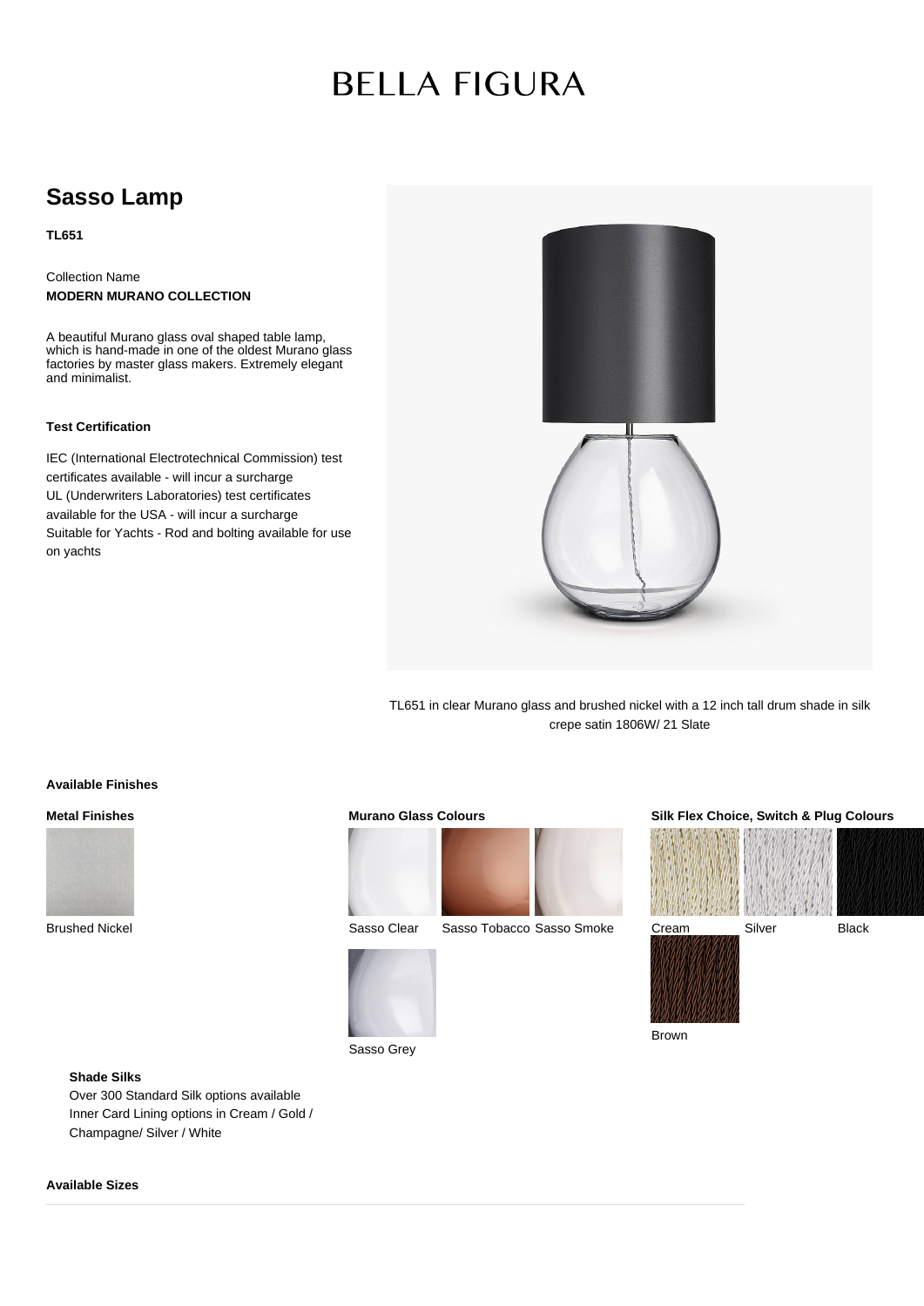# **BELLA FIGURA**

## **Sasso Lamp**

**TL651**

Collection Name **MODERN MURANO COLLECTION**

A beautiful Murano glass oval shaped table lamp, which is hand-made in one of the oldest Murano glass factories by master glass makers. Extremely elegant and minimalist.

### **Test Certification**

IEC (International Electrotechnical Commission) test certificates available - will incur a surcharge UL (Underwriters Laboratories) test certificates available for the USA - will incur a surcharge Suitable for Yachts - Rod and bolting available for use on yachts



TL651 in clear Murano glass and brushed nickel with a 12 inch tall drum shade in silk crepe satin 1806W/ 21 Slate

### **Available Finishes**

### **Metal Finishes**



Brushed Nickel

### **Murano Glass Colours**



Sasso Clear Sasso Tobacco Sasso Smoke



**Silk Flex Choice, Switch & Plug Colours**



Brown

### **Shade Silks**

Over 300 Standard Silk options available Inner Card Lining options in Cream / Gold / Champagne/ Silver / White

### **Available Sizes**